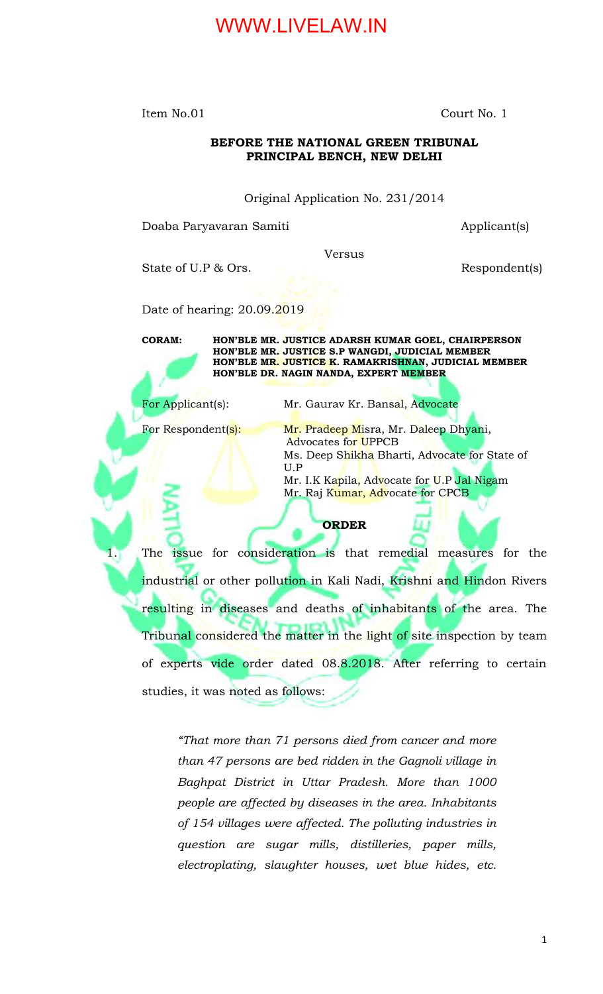Item No.01 Court No. 1

#### **BEFORE THE NATIONAL GREEN TRIBUNAL PRINCIPAL BENCH, NEW DELHI**

Original Application No. 231/2014

Doaba Paryavaran Samiti Applicant(s)

Versus

State of U.P & Ors. Respondent(s)

Date of hearing: 20.09.2019

**CORAM: HON'BLE MR. JUSTICE ADARSH KUMAR GOEL, CHAIRPERSON HON'BLE MR. JUSTICE S.P WANGDI, JUDICIAL MEMBER HON'BLE MR. JUSTICE K. RAMAKRISHNAN, JUDICIAL MEMBER HON'BLE DR. NAGIN NANDA, EXPERT MEMBER**

For Applicant(s): Mr. Gaurav Kr. Bansal, Advocate

For Respondent(s): Mr. Pradeep Misra, Mr. Daleep Dhyani, Advocates for UPPCB Ms. Deep Shikha Bharti, Advocate for State of U.P

Mr. I.K Kapila, Advocate for U.P Jal Nigam Mr. Raj Kumar, Advocate for CPCB

#### **ORDER**

1. The issue for consideration is that remedial measures for the industrial or other pollution in Kali Nadi, Krishni and Hindon Rivers resulting in diseases and deaths of inhabitants of the area. The Tribunal considered the matter in the light of site inspection by team of experts vide order dated 08.8.2018. After referring to certain studies, it was noted as follows:

> *"That more than 71 persons died from cancer and more than 47 persons are bed ridden in the Gagnoli village in Baghpat District in Uttar Pradesh. More than 1000 people are affected by diseases in the area. Inhabitants of 154 villages were affected. The polluting industries in question are sugar mills, distilleries, paper mills, electroplating, slaughter houses, wet blue hides, etc.*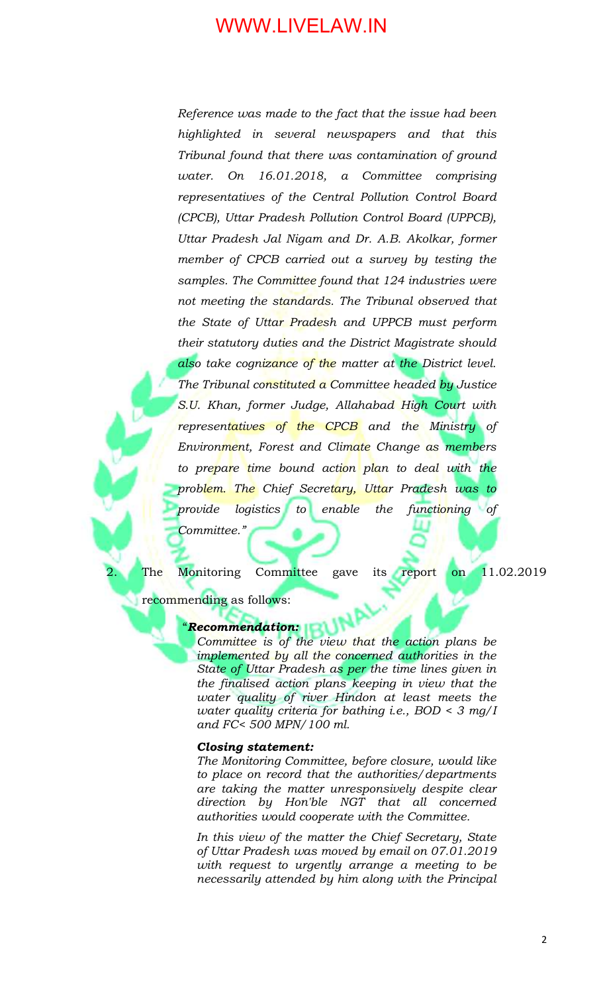*Reference was made to the fact that the issue had been highlighted in several newspapers and that this Tribunal found that there was contamination of ground water. On 16.01.2018, a Committee comprising representatives of the Central Pollution Control Board (CPCB), Uttar Pradesh Pollution Control Board (UPPCB), Uttar Pradesh Jal Nigam and Dr. A.B. Akolkar, former member of CPCB carried out a survey by testing the samples. The Committee found that 124 industries were not meeting the standards. The Tribunal observed that the State of Uttar Pradesh and UPPCB must perform their statutory duties and the District Magistrate should also take cognizance of the matter at the District level. The Tribunal constituted a Committee headed by Justice S.U. Khan, former Judge, Allahabad High Court with representatives of the CPCB and the Ministry of Environment, Forest and Climate Change as members to prepare time bound action plan to deal with the problem. The Chief Secretary, Uttar Pradesh was to provide logistics to enable the functioning of Committee."*

The Monitoring Committee gave its report on 11.02.2019

recommending as follows:

#### "*Recommendation:*

*Committee is of the view that the action plans be implemented by all the concerned authorities in the State of Uttar Pradesh as per the time lines given in the finalised action plans keeping in view that the water quality of river Hindon at least meets the water quality criteria for bathing i.e., BOD < 3 mg/I and FC< 500 MPN/100 ml.*

#### *Closing statement:*

*The Monitoring Committee, before closure, would like to place on record that the authorities/departments are taking the matter unresponsively despite clear direction by Hon'ble NGT that all concerned authorities would cooperate with the Committee.* 

*In this view of the matter the Chief Secretary, State of Uttar Pradesh was moved by email on 07.01.2019 with request to urgently arrange a meeting to be necessarily attended by him along with the Principal*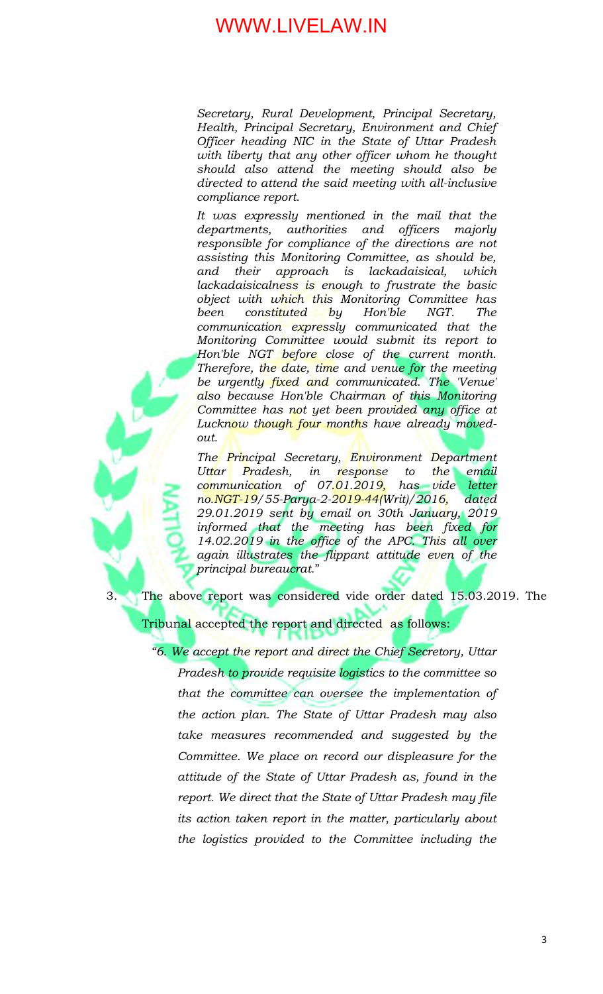*Secretary, Rural Development, Principal Secretary, Health, Principal Secretary, Environment and Chief Officer heading NIC in the State of Uttar Pradesh with liberty that any other officer whom he thought should also attend the meeting should also be directed to attend the said meeting with all-inclusive compliance report.*

*It was expressly mentioned in the mail that the departments, authorities and officers majorly responsible for compliance of the directions are not assisting this Monitoring Committee, as should be, and their approach is lackadaisical, which lackadaisicalness is enough to frustrate the basic object with which this Monitoring Committee has been constituted by Hon'ble NGT. The communication expressly communicated that the Monitoring Committee would submit its report to Hon'ble NGT before close of the current month. Therefore, the date, time and venue for the meeting be urgently fixed and communicated. The 'Venue' also because Hon'ble Chairman of this Monitoring Committee has not yet been provided any office at Lucknow though four months have already movedout.* 

*The Principal Secretary, Environment Department Uttar Pradesh, in response to the email communication of 07.01.2019, has vide letter no.NGT-19/55-Parya-2-2019-44(Writ)/2016, dated 29.01.2019 sent by email on 30th January, 2019 informed that the meeting has been fixed for 14.02.2019 in the office of the APC. This all over again illustrates the flippant attitude even of the principal bureaucrat.*"

3. The above report was considered vide order dated 15.03.2019. The

Tribunal accepted the report and directed as follows:

*"6. We accept the report and direct the Chief Secretory, Uttar Pradesh to provide requisite logistics to the committee so that the committee can oversee the implementation of the action plan. The State of Uttar Pradesh may also take measures recommended and suggested by the Committee. We place on record our displeasure for the attitude of the State of Uttar Pradesh as, found in the report. We direct that the State of Uttar Pradesh may file its action taken report in the matter, particularly about the logistics provided to the Committee including the*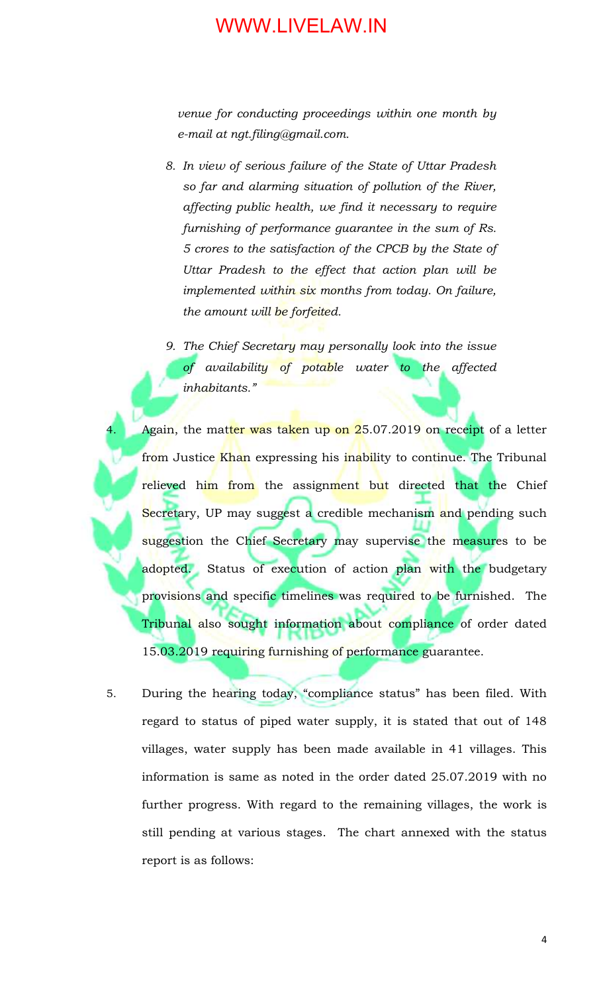*venue for conducting proceedings within one month by e-mail at ngt.filing@gmail.com.*

- *8. In view of serious failure of the State of Uttar Pradesh so far and alarming situation of pollution of the River, affecting public health, we find it necessary to require furnishing of performance guarantee in the sum of Rs. 5 crores to the satisfaction of the CPCB by the State of Uttar Pradesh to the effect that action plan will be implemented within six months from today. On failure, the amount will be forfeited.*
- *9. The Chief Secretary may personally look into the issue of availability of potable water to the affected inhabitants."*

Again, the matter was taken up on 25.07.2019 on receipt of a letter from Justice Khan expressing his inability to continue. The Tribunal relieved him from the assignment but directed that the Chief Secretary, UP may suggest a credible mechanism and pending such suggestion the Chief Secretary may supervise the measures to be adopted. Status of execution of action plan with the budgetary provisions and specific timelines was required to be furnished. The Tribunal also sought information about compliance of order dated 15.03.2019 requiring furnishing of performance guarantee.

5. During the hearing today, "compliance status" has been filed. With regard to status of piped water supply, it is stated that out of 148 villages, water supply has been made available in 41 villages. This information is same as noted in the order dated 25.07.2019 with no further progress. With regard to the remaining villages, the work is still pending at various stages. The chart annexed with the status report is as follows: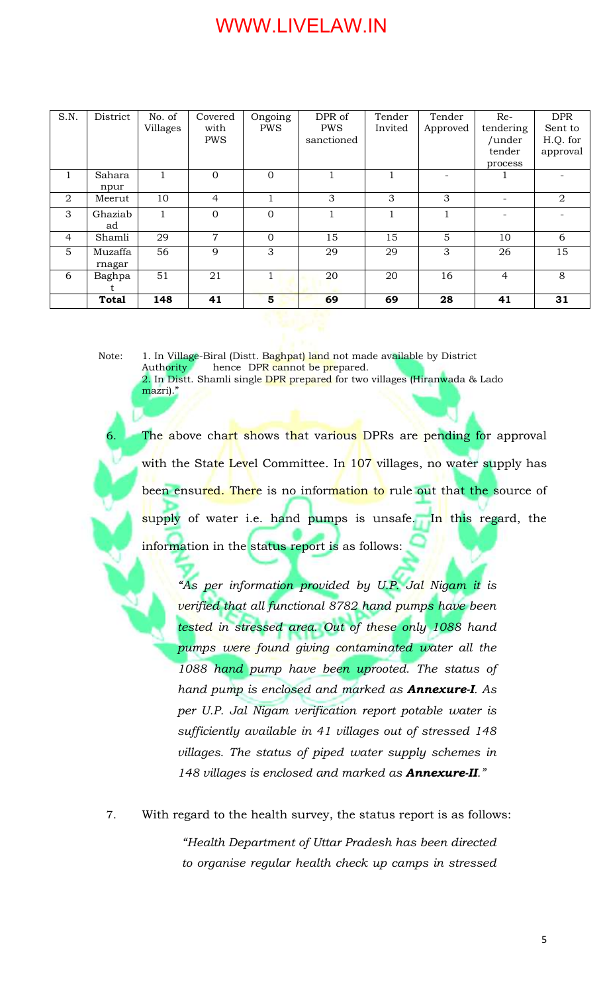| S.N. | District     | No. of   | Covered    | Ongoing    | DPR of     | Tender  | Tender   | $Re-$                    | <b>DPR</b>     |
|------|--------------|----------|------------|------------|------------|---------|----------|--------------------------|----------------|
|      |              | Villages | with       | <b>PWS</b> | <b>PWS</b> | Invited | Approved | tendering                | Sent to        |
|      |              |          | <b>PWS</b> |            | sanctioned |         |          | /under                   | H.Q. for       |
|      |              |          |            |            |            |         |          | tender                   | approval       |
|      |              |          |            |            |            |         |          | process                  |                |
|      | Sahara       |          | $\Omega$   | $\Omega$   |            |         |          |                          |                |
|      | npur         |          |            |            |            |         |          |                          |                |
| 2    | Meerut       | 10       | 4          |            | 3          | 3       | 3        | $\overline{\phantom{0}}$ | $\overline{2}$ |
| 3    | Ghaziab      |          | $\Omega$   | $\Omega$   |            |         |          |                          |                |
|      | ad           |          |            |            |            |         |          |                          |                |
| 4    | Shamli       | 29       | 7          | $\Omega$   | 15         | 15      | 5        | 10                       | 6              |
| 5    | Muzaffa      | 56       | 9          | 3          | 29         | 29      | 3        | 26                       | 15             |
|      | rnagar       |          |            |            |            |         |          |                          |                |
| 6    | Baghpa       | 51       | 21         |            | 20         | 20      | 16       | $\overline{4}$           | 8              |
|      |              |          |            |            |            |         |          |                          |                |
|      | <b>Total</b> | 148      | 41         | 5          | 69         | 69      | 28       | 41                       | 31             |

Note: 1. In Village-Biral (Distt. Baghpat) land not made available by District<br>Authority hence DPR cannot be prepared. hence DPR cannot be prepared. 2. In Distt. Shamli single DPR prepared for two villages (Hiranwada & Lado mazri)."

The above chart shows that various DPRs are pending for approval with the State Level Committee. In 107 villages, no water supply has been ensured. There is no information to rule out that the source of supply of water i.e. hand pumps is unsafe. In this regard, the information in the status report is as follows:

*"As per information provided by U.P. Jal Nigam it is verified that all functional 8782 hand pumps have been tested in stressed area. Out of these only 1088 hand pumps were found giving contaminated water all the 1088 hand pump have been uprooted. The status of hand pump is enclosed and marked as Annexure-I. As per U.P. Jal Nigam verification report potable water is sufficiently available in 41 villages out of stressed 148 villages. The status of piped water supply schemes in 148 villages is enclosed and marked as Annexure-II."*

7. With regard to the health survey, the status report is as follows: *"Health Department of Uttar Pradesh has been directed to organise regular health check up camps in stressed*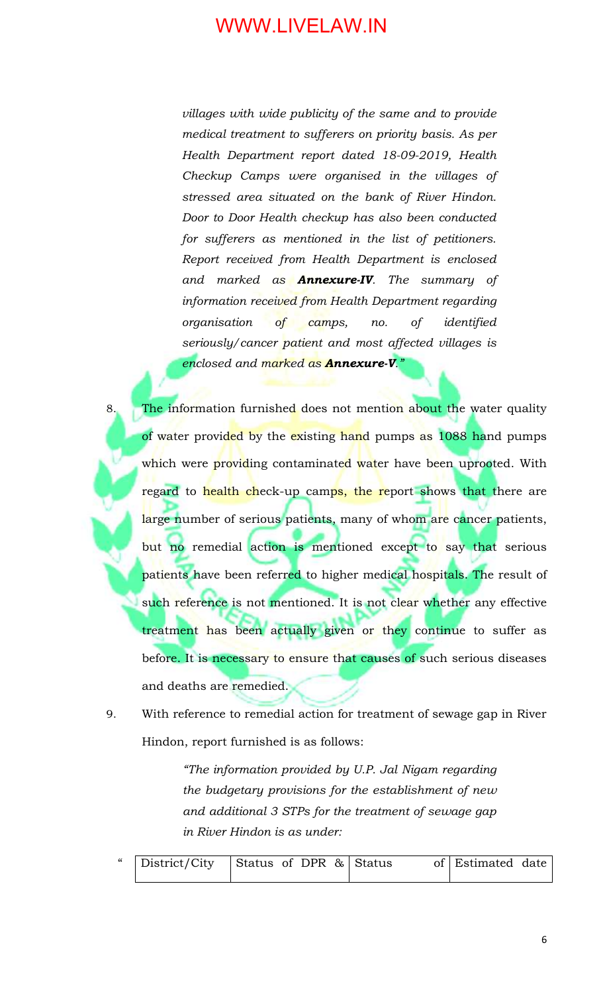*villages with wide publicity of the same and to provide medical treatment to sufferers on priority basis. As per Health Department report dated 18-09-2019, Health Checkup Camps were organised in the villages of stressed area situated on the bank of River Hindon. Door to Door Health checkup has also been conducted for sufferers as mentioned in the list of petitioners. Report received from Health Department is enclosed and marked as Annexure-IV. The summary of information received from Health Department regarding organisation of camps, no. of identified seriously/cancer patient and most affected villages is enclosed and marked as Annexure-V."*

- 8. The information furnished does not mention about the water quality of water provided by the existing hand pumps as 1088 hand pumps which were providing contaminated water have been uprooted. With regard to health check-up camps, the report shows that there are large number of serious patients, many of whom are cancer patients, but no remedial action is mentioned except to say that serious patients have been referred to higher medical hospitals. The result of such reference is not mentioned. It is not clear whether any effective treatment has been actually given or they continue to suffer as before. It is necessary to ensure that causes of such serious diseases and deaths are remedied.
- 9. With reference to remedial action for treatment of sewage gap in River Hindon, report furnished is as follows:

*"The information provided by U.P. Jal Nigam regarding the budgetary provisions for the establishment of new and additional 3 STPs for the treatment of sewage gap in River Hindon is as under:*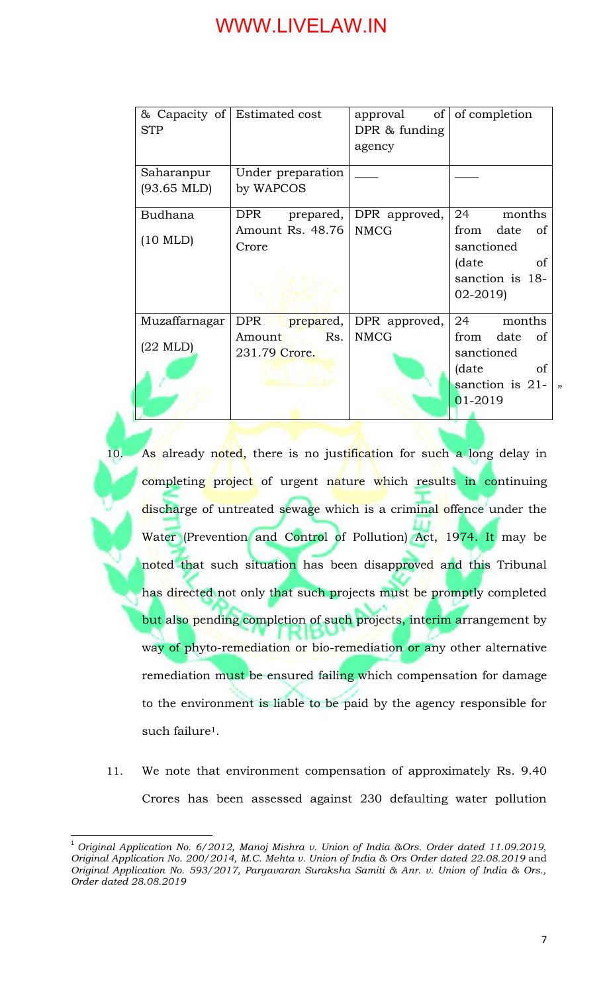| <b>STP</b>                          | & Capacity of Estimated cost   | approval of of completion<br>DPR $\&$ funding<br>agency |                                                                                         |
|-------------------------------------|--------------------------------|---------------------------------------------------------|-----------------------------------------------------------------------------------------|
| Saharanpur<br>$(93.65 \text{ MLD})$ | Under preparation<br>by WAPCOS |                                                         |                                                                                         |
| <b>Budhana</b>                      | <b>DPR</b>                     | prepared, DPR approved,                                 | 24<br>months                                                                            |
| $(10 \text{ MLD})$                  | Amount Rs. 48.76<br>Crore      | <b>NMCG</b>                                             | from date of<br>sanctioned<br>(date)<br><sub>of</sub><br>sanction is 18-<br>$02 - 2019$ |
| Muzaffarnagar                       | DPR  <br>prepared,             | DPR approved,                                           | 24<br>months                                                                            |
| $(22 \text{ MLD})$                  | Rs.<br>Amount<br>231.79 Crore. | <b>NMCG</b>                                             | from date of<br>sanctioned<br>of<br>(date<br>sanction is $21$ -<br>,<br>$01-2019$       |

- 10. As already noted, there is no justification for such a long delay in completing project of urgent nature which results in continuing discharge of untreated sewage which is a criminal offence under the Water (Prevention and Control of Pollution) Act, 1974. It may be noted that such situation has been disapproved and this Tribunal has directed not only that such projects must be promptly completed but also pending completion of such projects, interim arrangement by way of phyto-remediation or bio-remediation or any other alternative remediation must be ensured failing which compensation for damage to the environment is liable to be paid by the agency responsible for such failure<sup>1</sup>.
- 11. We note that environment compensation of approximately Rs. 9.40 Crores has been assessed against 230 defaulting water pollution

 $\overline{\phantom{a}}$ 

<sup>1</sup> *Original Application No. 6/2012, Manoj Mishra v. Union of India &Ors. Order dated 11.09.2019, Original Application No. 200/2014, M.C. Mehta v. Union of India & Ors Order dated 22.08.2019* and *Original Application No. 593/2017, Paryavaran Suraksha Samiti & Anr. v. Union of India & Ors., Order dated 28.08.2019*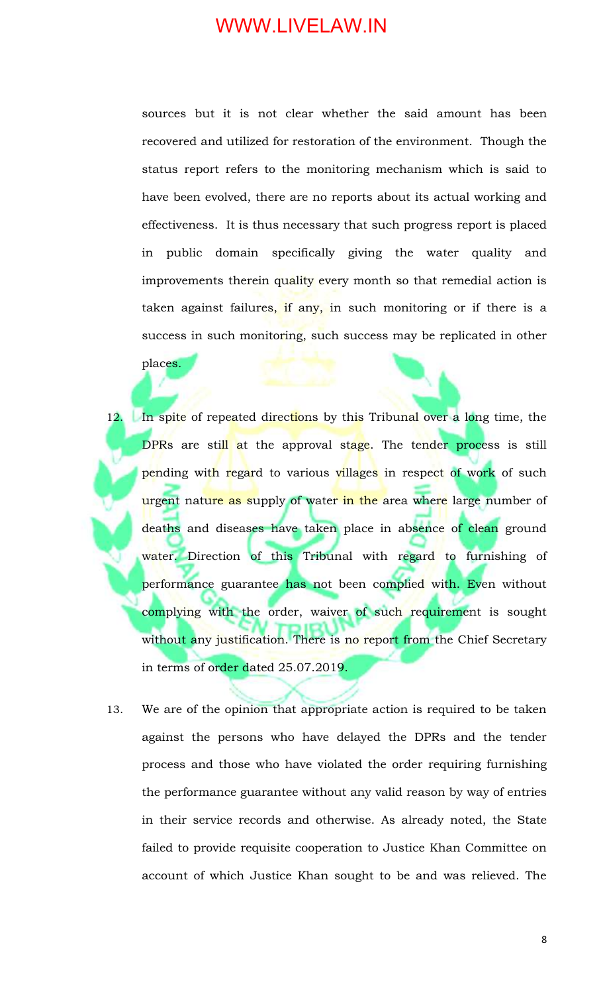sources but it is not clear whether the said amount has been recovered and utilized for restoration of the environment. Though the status report refers to the monitoring mechanism which is said to have been evolved, there are no reports about its actual working and effectiveness. It is thus necessary that such progress report is placed in public domain specifically giving the water quality and improvements therein quality every month so that remedial action is taken against failures, if any, in such monitoring or if there is a success in such monitoring, such success may be replicated in other

places.

- 12. In spite of repeated directions by this Tribunal over a long time, the DPRs are still at the approval stage. The tender process is still pending with regard to various villages in respect of work of such urgent nature as supply of water in the area where large number of deaths and diseases have taken place in absence of clean ground water. Direction of this Tribunal with regard to furnishing of performance guarantee has not been complied with. Even without complying with the order, waiver of such requirement is sought without any justification. There is no report from the Chief Secretary in terms of order dated 25.07.2019.
- 13. We are of the opinion that appropriate action is required to be taken against the persons who have delayed the DPRs and the tender process and those who have violated the order requiring furnishing the performance guarantee without any valid reason by way of entries in their service records and otherwise. As already noted, the State failed to provide requisite cooperation to Justice Khan Committee on account of which Justice Khan sought to be and was relieved. The